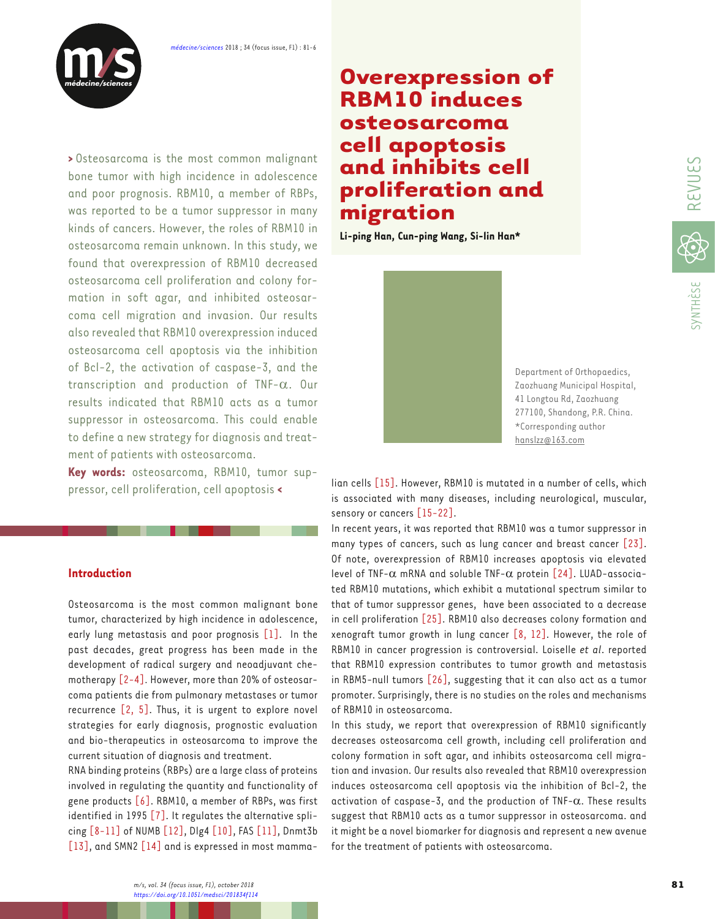

**>** Osteosarcoma is the most common malignant bone tumor with high incidence in adolescence and poor prognosis. RBM10, a member of RBPs, was reported to be a tumor suppressor in many kinds of cancers. However, the roles of RBM10 in osteosarcoma remain unknown. In this study, we found that overexpression of RBM10 decreased osteosarcoma cell proliferation and colony formation in soft agar, and inhibited osteosarcoma cell migration and invasion. Our results also revealed that RBM10 overexpression induced osteosarcoma cell apoptosis via the inhibition of Bcl-2, the activation of caspase-3, and the transcription and production of TNF-α. Our results indicated that RBM10 acts as a tumor suppressor in osteosarcoma. This could enable to define a new strategy for diagnosis and treatment of patients with osteosarcoma.

**Key words:** osteosarcoma, RBM10, tumor suppressor, cell proliferation, cell apoptosis **<**

# **Introduction**

Osteosarcoma is the most common malignant bone tumor, characterized by high incidence in adolescence, early lung metastasis and poor prognosis [\[1\]](#page-4-0). In the past decades, great progress has been made in the development of radical surgery and neoadjuvant chemotherapy [\[2](#page-4-0)-[4\]](#page-4-0). However, more than 20% of osteosarcoma patients die from pulmonary metastases or tumor recurrence  $[2, 5]$  $[2, 5]$  $[2, 5]$ . Thus, it is urgent to explore novel strategies for early diagnosis, prognostic evaluation and bio-therapeutics in osteosarcoma to improve the current situation of diagnosis and treatment.

RNA binding proteins (RBPs) are a large class of proteins involved in regulating the quantity and functionality of gene products  $[6]$ . RBM10, a member of RBPs, was first identified in 1995 [\[7\]](#page-4-0). It regulates the alternative splicing [\[8-11\]](#page-4-0) of NUMB [\[12\]](#page-4-0), Dlg4 [\[10\],](#page-4-0) FAS [\[11\],](#page-4-0) Dnmt3b [\[13\]](#page-4-0), and SMN2 [\[14\]](#page-4-0) and is expressed in most mamma-

# **Overexpression of RBM10 induces osteosarcoma cell apoptosis and inhibits cell proliferation and migration**

**Li-ping Han, Cun-ping Wang, Si-lin Han\***



Department of Orthopaedics, Zaozhuang Municipal Hospital, 41 Longtou Rd, Zaozhuang 277100, Shandong, P.R. China. \*Corresponding author hanslzz@163.com

lian cells [\[15\]](#page-4-0). However, RBM10 is mutated in a number of cells, which is associated with many diseases, including neurological, muscular, sensory or cancers [\[15-22\].](#page-4-0)

In recent years, it was reported that RBM10 was a tumor suppressor in many types of cancers, such as lung cancer and breast cancer [\[23\]](#page-4-0). Of note, overexpression of RBM10 increases apoptosis via elevated level of TNF- $\alpha$  mRNA and soluble TNF- $\alpha$  protein [\[24\]](#page-4-0). LUAD-associated RBM10 mutations, which exhibit a mutational spectrum similar to that of tumor suppressor genes, have been associated to a decrease in cell proliferation [\[25\]](#page-4-0). RBM10 also decreases colony formation and xenograft tumor growth in lung cancer  $[8, 12]$  $[8, 12]$ . However, the role of RBM10 in cancer progression is controversial. Loiselle *et al*. reported that RBM10 expression contributes to tumor growth and metastasis in RBM5-null tumors [\[26\],](#page-4-0) suggesting that it can also act as a tumor promoter. Surprisingly, there is no studies on the roles and mechanisms of RBM10 in osteosarcoma.

In this study, we report that overexpression of RBM10 significantly decreases osteosarcoma cell growth, including cell proliferation and colony formation in soft agar, and inhibits osteosarcoma cell migration and invasion. Our results also revealed that RBM10 overexpression induces osteosarcoma cell apoptosis via the inhibition of Bcl-2, the activation of caspase-3, and the production of TNF- $\alpha$ . These results suggest that RBM10 acts as a tumor suppressor in osteosarcoma. and it might be a novel biomarker for diagnosis and represent a new avenue for the treatment of patients with osteosarcoma.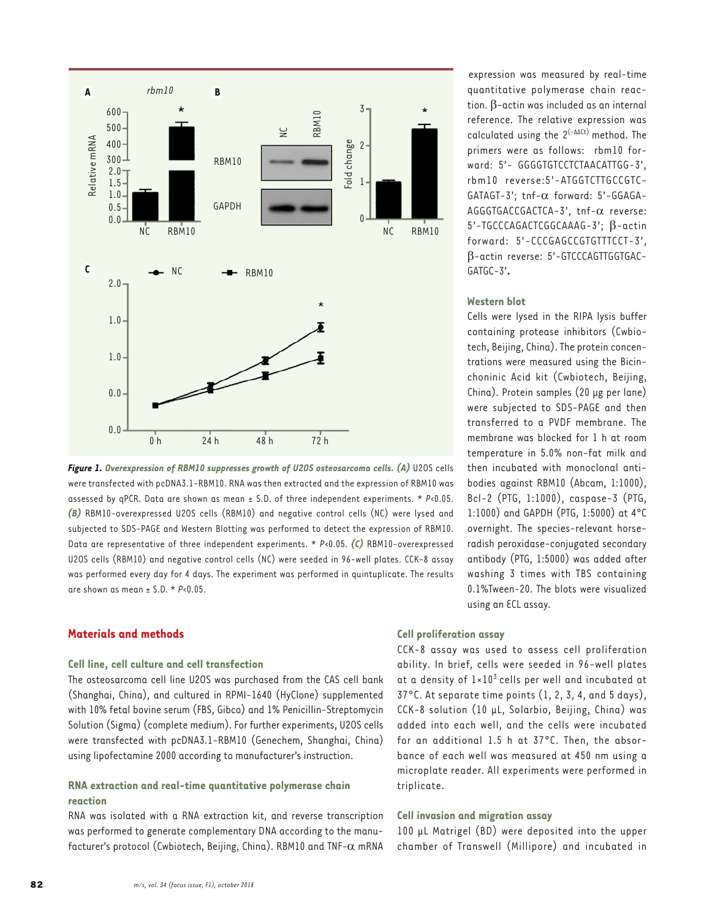<span id="page-1-0"></span>

**Figure 1. Overexpression of RBM10 suppresses growth of U2OS osteosarcoma cells. (A)** U2OS cells were transfected with pcDNA3.1-RBM10. RNA was then extracted and the expression of RBM10 was assessed by qPCR. Data are shown as mean ± S.D. of three independent experiments. \* *P*<0.05. *(B)* RBM10-overexpressed U2OS cells (RBM10) and negative control cells (NC) were lysed and subjected to SDS-PAGE and Western Blotting was performed to detect the expression of RBM10. Data are representative of three independent experiments. \* *P*<0.05. *(C)* RBM10-overexpressed U2OS cells (RBM10) and negative control cells (NC) were seeded in 96-well plates. CCK-8 assay was performed every day for 4 days. The experiment was performed in quintuplicate. The results are shown as mean  $\pm$  S.D.  $\star$  *P*<0.05.

# **Materials and methods**

#### **Cell line, cell culture and cell transfection**

The osteosarcoma cell line U2OS was purchased from the CAS cell bank (Shanghai, China), and cultured in RPMI-1640 (HyClone) supplemented with 10% fetal bovine serum (FBS, Gibco) and 1% Penicillin-Streptomycin Solution (Sigma) (complete medium). For further experiments, U2OS cells were transfected with pcDNA3.1-RBM10 (Genechem, Shanghai, China) using lipofectamine 2000 according to manufacturer's instruction.

# **RNA extraction and real-time quantitative polymerase chain reaction**

RNA was isolated with a RNA extraction kit, and reverse transcription was performed to generate complementary DNA according to the manufacturer's protocol (Cwbiotech, Beijing, China). RBM10 and TNF-α mRNA

expression was measured by real-time quantitative polymerase chain reaction. β-actin was included as an internal reference. The relative expression was calculated using the  $2^{(-\Delta\Delta Ct)}$  method. The primers were as follows: rbm10 forward: 5'- GGGGTGTCCTCTAACATTGG-3', rbm10 reverse:5'-ATGGTCTTGCCGTC-GATAGT-3'; tnf-α forward: 5'-GGAGA-AGGGTGACCGACTCA-3', tnf-α reverse: 5'-TGCCCAGACTCGGCAAAG-3'; β-actin forward: 5'-CCCGAGCCGTGTTTCCT-3', β-actin reverse: 5'-GTCCCAGTTGGTGAC-GATGC-3'**.** 

#### **Western blot**

Cells were lysed in the RIPA lysis buffer containing protease inhibitors (Cwbiotech, Beijing, China). The protein concentrations were measured using the Bicinchoninic Acid kit (Cwbiotech, Beijing, China). Protein samples (20 µg per lane) were subjected to SDS-PAGE and then transferred to a PVDF membrane. The membrane was blocked for 1 h at room temperature in 5.0% non-fat milk and then incubated with monoclonal antibodies against RBM10 (Abcam, 1:1000), Bcl-2 (PTG, 1:1000), caspase-3 (PTG, 1:1000) and GAPDH (PTG, 1:5000) at 4°C overnight. The species-relevant horseradish peroxidase-conjugated secondary antibody (PTG, 1:5000) was added after washing 3 times with TBS containing 0.1%Tween-20. The blots were visualized using an ECL assay.

## **Cell proliferation assay**

CCK-8 assay was used to assess cell proliferation ability. In brief, cells were seeded in 96-well plates at a density of  $1\times10^{3}$  cells per well and incubated at 37°C. At separate time points (1, 2, 3, 4, and 5 days), CCK-8 solution (10 µL, Solarbio, Beijing, China) was added into each well, and the cells were incubated for an additional 1.5 h at 37°C. Then, the absorbance of each well was measured at 450 nm using a microplate reader. All experiments were performed in triplicate.

## **Cell invasion and migration assay**

100 µL Matrigel (BD) were deposited into the upper chamber of Transwell (Millipore) and incubated in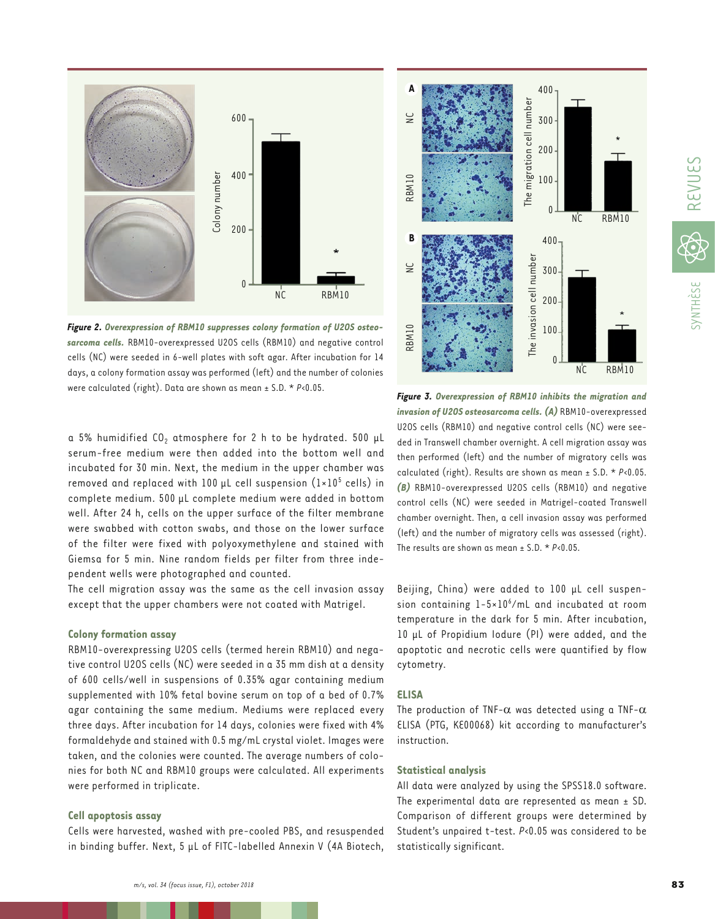



<span id="page-2-0"></span>

*Figure 2. Overexpression of RBM10 suppresses colony formation of U2OS osteosarcoma cells.* RBM10-overexpressed U2OS cells (RBM10) and negative control cells (NC) were seeded in 6-well plates with soft agar. After incubation for 14 days, a colony formation assay was performed (left) and the number of colonies were calculated (right). Data are shown as mean ± S.D. \* *P*<0.05.

a 5% humidified CO<sub>2</sub> atmosphere for 2 h to be hydrated. 500 µL serum-free medium were then added into the bottom well and incubated for 30 min. Next, the medium in the upper chamber was removed and replaced with  $100 \mu$ L cell suspension  $(1\times10^5$  cells) in complete medium. 500 µL complete medium were added in bottom well. After 24 h, cells on the upper surface of the filter membrane were swabbed with cotton swabs, and those on the lower surface of the filter were fixed with polyoxymethylene and stained with Giemsa for 5 min. Nine random fields per filter from three independent wells were photographed and counted.

The cell migration assay was the same as the cell invasion assay except that the upper chambers were not coated with Matrigel.

#### **Colony formation assay**

RBM10-overexpressing U2OS cells (termed herein RBM10) and negative control U2OS cells (NC) were seeded in a 35 mm dish at a density of 600 cells/well in suspensions of 0.35% agar containing medium supplemented with 10% fetal bovine serum on top of a bed of 0.7% agar containing the same medium. Mediums were replaced every three days. After incubation for 14 days, colonies were fixed with 4% formaldehyde and stained with 0.5 mg/mL crystal violet. Images were taken, and the colonies were counted. The average numbers of colonies for both NC and RBM10 groups were calculated. All experiments were performed in triplicate.

#### **Cell apoptosis assay**

Cells were harvested, washed with pre-cooled PBS, and resuspended in binding buffer. Next, 5 µL of FITC-labelled Annexin V (4A Biotech,



*Figure 3. Overexpression of RBM10 inhibits the migration and invasion of U2OS osteosarcoma cells. (A)* RBM10-overexpressed U2OS cells (RBM10) and negative control cells (NC) were seeded in Transwell chamber overnight. A cell migration assay was then performed (left) and the number of migratory cells was calculated (right). Results are shown as mean ± S.D. \* *P*<0.05. *(B)* RBM10-overexpressed U2OS cells (RBM10) and negative control cells (NC) were seeded in Matrigel-coated Transwell chamber overnight. Then, a cell invasion assay was performed (left) and the number of migratory cells was assessed (right). The results are shown as mean ± S.D. \* *P*<0.05.

Beijing, China) were added to 100 µL cell suspension containing 1-5×10<sup>6</sup>/mL and incubated at room temperature in the dark for 5 min. After incubation, 10 µL of Propidium Iodure (PI) were added, and the apoptotic and necrotic cells were quantified by flow cytometry.

#### **ELISA**

The production of TNF- $\alpha$  was detected using a TNF- $\alpha$ ELISA (PTG, KE00068) kit according to manufacturer's instruction.

## **Statistical analysis**

All data were analyzed by using the SPSS18.0 software. The experimental data are represented as mean ± SD. Comparison of different groups were determined by Student's unpaired t-test. *P*<0.05 was considered to be statistically significant.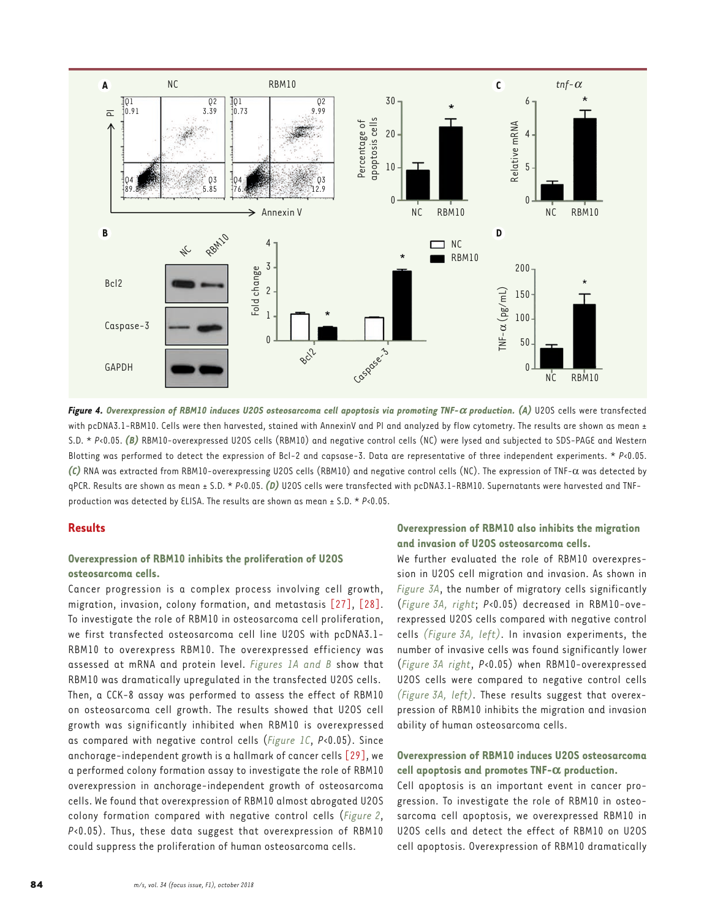<span id="page-3-0"></span>

*Figure 4. Overexpression of RBM10 induces U2OS osteosarcoma cell apoptosis via promoting TNF-a production. (A)* U2OS cells were transfected with pcDNA3.1-RBM10. Cells were then harvested, stained with AnnexinV and PI and analyzed by flow cytometry. The results are shown as mean ± S.D. \* *P*<0.05. *(B)* RBM10-overexpressed U2OS cells (RBM10) and negative control cells (NC) were lysed and subjected to SDS-PAGE and Western Blotting was performed to detect the expression of Bcl-2 and capsase-3. Data are representative of three independent experiments. \* *P*<0.05. *(C)* RNA was extracted from RBM10-overexpressing U2OS cells (RBM10) and negative control cells (NC). The expression of TNF-α was detected by qPCR. Results are shown as mean ± S.D. \* P<0.05. (D) U2OS cells were transfected with pcDNA3.1-RBM10. Supernatants were harvested and TNFproduction was detected by ELISA. The results are shown as mean ± S.D. \* *P*<0.05.

# **Results**

# **Overexpression of RBM10 inhibits the proliferation of U2OS osteosarcoma cells.**

Cancer progression is a complex process involving cell growth, migration, invasion, colony formation, and metastasis [\[27\],](#page-4-0) [\[28\].](#page-5-0) To investigate the role of RBM10 in osteosarcoma cell proliferation, we first transfected osteosarcoma cell line U2OS with pcDNA3.1- RBM10 to overexpress RBM10. The overexpressed efficiency was assessed at mRNA and protein level. *[Figures 1A](#page-1-0) and [B](#page-1-0)* show that RBM10 was dramatically upregulated in the transfected U2OS cells. Then, a CCK-8 assay was performed to assess the effect of RBM10 on osteosarcoma cell growth. The results showed that U2OS cell growth was significantly inhibited when RBM10 is overexpressed as compared with negative control cells (*[Figure 1C](#page-1-0)*, *P*<0.05). Since anchorage-independent growth is a hallmark of cancer cells [\[29\],](#page-5-0) we a performed colony formation assay to investigate the role of RBM10 overexpression in anchorage-independent growth of osteosarcoma cells. We found that overexpression of RBM10 almost abrogated U2OS colony formation compared with negative control cells (*[Figure](#page-2-0) 2*, *P*<0.05). Thus, these data suggest that overexpression of RBM10 could suppress the proliferation of human osteosarcoma cells.

## **Overexpression of RBM10 also inhibits the migration and invasion of U2OS osteosarcoma cells.**

We further evaluated the role of RBM10 overexpression in U2OS cell migration and invasion. As shown in *[Figure 3A](#page-2-0)*, the number of migratory cells significantly (*[Figure](#page-2-0) 3A, right*; *P*<0.05) decreased in RBM10-overexpressed U2OS cells compared with negative control cells *[\(Figure](#page-2-0) 3A, left)*. In invasion experiments, the number of invasive cells was found significantly lower (*[Figure](#page-2-0) 3A right*, *P*<0.05) when RBM10-overexpressed U2OS cells were compared to negative control cells *[\(Figure](#page-2-0) 3A, left)*. These results suggest that overexpression of RBM10 inhibits the migration and invasion ability of human osteosarcoma cells.

# **Overexpression of RBM10 induces U2OS osteosarcoma cell apoptosis and promotes TNF-**a **production.**

Cell apoptosis is an important event in cancer progression. To investigate the role of RBM10 in osteosarcoma cell apoptosis, we overexpressed RBM10 in U2OS cells and detect the effect of RBM10 on U2OS cell apoptosis. Overexpression of RBM10 dramatically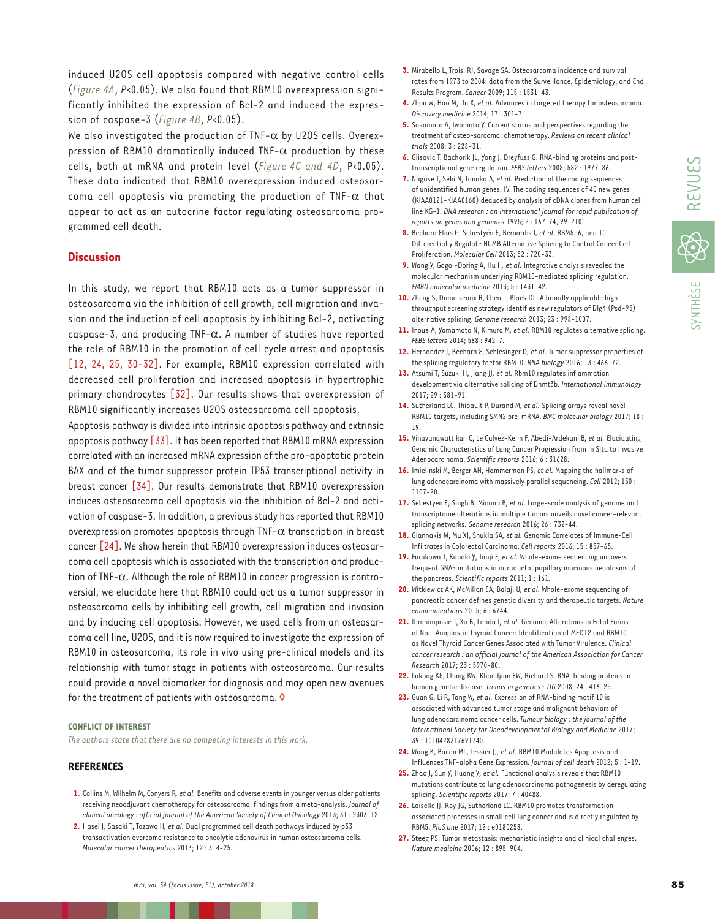treatment of osteo-sarcoma: chemotherapy. *Reviews on recent clinical*  **6.** Glisovic T, Bachorik JL, Yong J, Dreyfuss G. RNA-binding proteins and posttranscriptional gene regulation. *FEBS letters* 2008; 582 : 1977-86.

**7.** Nagase T, Seki N, Tanaka A*, et al.* Prediction of the coding sequences of unidentified human genes. IV. The coding sequences of 40 new genes (KIAA0121-KIAA0160) deduced by analysis of cDNA clones from human cell line KG-1. *DNA research : an international journal for rapid publication of reports on genes and genomes* 1995; 2 : 167-74, 99-210.

**3.** Mirabello L, Troisi RJ, Savage SA. Osteosarcoma incidence and survival rates from 1973 to 2004: data from the Surveillance, Epidemiology, and End

**5.** Sakamoto A, Iwamoto Y. Current status and perspectives regarding the

**4.** Zhou W, Hao M, Du X*, et al.* Advances in targeted therapy for osteosarcoma.

Results Program. *Cancer* 2009; 115 : 1531-43.

*Discovery medicine* 2014; 17 : 301-7.

*trials* 2008; 3 : 228-31.

**8.** Bechara Elias G, Sebestyén E, Bernardis I*, et al.* RBM5, 6, and 10 Differentially Regulate NUMB Alternative Splicing to Control Cancer Cell Proliferation. *Molecular Cell* 2013; 52 : 720-33.

**9.** Wang Y, Gogol-Doring A, Hu H*, et al.* Integrative analysis revealed the molecular mechanism underlying RBM10-mediated splicing regulation. *EMBO molecular medicine* 2013; 5 : 1431-42.

**10.** Zheng S, Damoiseaux R, Chen L, Black DL. A broadly applicable highthroughput screening strategy identifies new regulators of Dlg4 (Psd-95) alternative splicing. *Genome research* 2013; 23 : 998-1007.

- **11.** Inoue A, Yamamoto N, Kimura M*, et al.* RBM10 regulates alternative splicing. *FEBS letters* 2014; 588 : 942-7.
- **12.** Hernandez J, Bechara E, Schlesinger D*, et al.* Tumor suppressor properties of the splicing regulatory factor RBM10. *RNA biology* 2016; 13 : 466-72.
- **13.** Atsumi T, Suzuki H, Jiang JJ*, et al.* Rbm10 regulates inflammation development via alternative splicing of Dnmt3b. *International immunology*  2017; 29 : 581-91.
- **14.** Sutherland LC, Thibault P, Durand M*, et al.* Splicing arrays reveal novel RBM10 targets, including SMN2 pre-mRNA. *BMC molecular biology* 2017; 18 : 19.
- **15.** Vinayanuwattikun C, Le Calvez-Kelm F, Abedi-Ardekani B*, et al.* Elucidating Genomic Characteristics of Lung Cancer Progression from In Situ to Invasive Adenocarcinoma. *Scientific reports* 2016; 6 : 31628.
- **16.** Imielinski M, Berger AH, Hammerman PS*, et al.* Mapping the hallmarks of lung adenocarcinoma with massively parallel sequencing. *Cell* 2012; 150 : 1107-20.
- **17.** Sebestyen E, Singh B, Minana B*, et al.* Large-scale analysis of genome and transcriptome alterations in multiple tumors unveils novel cancer-relevant splicing networks. *Genome research* 2016; 26 : 732-44.
- **18.** Giannakis M, Mu XJ, Shukla SA*, et al.* Genomic Correlates of Immune-Cell Infiltrates in Colorectal Carcinoma. *Cell reports* 2016; 15 : 857-65.
- **19.** Furukawa T, Kuboki Y, Tanji E*, et al.* Whole-exome sequencing uncovers frequent GNAS mutations in intraductal papillary mucinous neoplasms of the pancreas. *Scientific reports* 2011; 1 : 161.
- **20.** Witkiewicz AK, McMillan EA, Balaji U*, et al.* Whole-exome sequencing of pancreatic cancer defines genetic diversity and therapeutic targets. *Nature communications* 2015; 6 : 6744.
- **21.** Ibrahimpasic T, Xu B, Landa I*, et al.* Genomic Alterations in Fatal Forms of Non-Anaplastic Thyroid Cancer: Identification of MED12 and RBM10 as Novel Thyroid Cancer Genes Associated with Tumor Virulence. *Clinical cancer research : an official journal of the American Association for Cancer Research* 2017; 23 : 5970-80.
- **22.** Lukong KE, Chang KW, Khandjian EW, Richard S. RNA-binding proteins in human genetic disease. *Trends in genetics : TIG* 2008; 24 : 416-25.
- **23.** Guan G, Li R, Tang W*, et al.* Expression of RNA-binding motif 10 is associated with advanced tumor stage and malignant behaviors of lung adenocarcinoma cancer cells. *Tumour biology : the journal of the International Society for Oncodevelopmental Biology and Medicine* 2017; 39 : 1010428317691740.
- **24.** Wang K, Bacon ML, Tessier JJ*, et al.* RBM10 Modulates Apoptosis and Influences TNF-alpha Gene Expression. *Journal of cell death* 2012; 5 : 1-19.
- **25.** Zhao J, Sun Y, Huang Y*, et al.* Functional analysis reveals that RBM10 mutations contribute to lung adenocarcinoma pathogenesis by deregulating splicing. *Scientific reports* 2017; 7 : 40488.
- **26.** Loiselle JJ, Roy JG, Sutherland LC. RBM10 promotes transformationassociated processes in small cell lung cancer and is directly regulated by RBM5. *PloS one* 2017; 12 : e0180258.
- **27.** Steeg PS. Tumor metastasis: mechanistic insights and clinical challenges. *Nature medicine* 2006; 12 : 895-904.

<span id="page-4-0"></span>induced U2OS cell apoptosis compared with negative control cells (*[Figure](#page-3-0) 4A*, *P*<0.05). We also found that RBM10 overexpression significantly inhibited the expression of Bcl-2 and induced the expression of caspase-3 (*[Figure](#page-3-0) 4B*, *P*<0.05).

We also investigated the production of TNF- $\alpha$  by U2OS cells. Overexpression of RBM10 dramatically induced TNF- $\alpha$  production by these cells, both at mRNA and protein level (*[Figure](#page-3-0) 4C and [4D](#page-3-0)*, P<0.05). These data indicated that RBM10 overexpression induced osteosarcoma cell apoptosis via promoting the production of  $TNF-\alpha$  that appear to act as an autocrine factor regulating osteosarcoma programmed cell death.

## **Discussion**

In this study, we report that RBM10 acts as a tumor suppressor in osteosarcoma via the inhibition of cell growth, cell migration and invasion and the induction of cell apoptosis by inhibiting Bcl-2, activating caspase-3, and producing TNF- $\alpha$ . A number of studies have reported the role of RBM10 in the promotion of cell cycle arrest and apoptosis [12, 24, 25, [30-32\]](#page-5-0). For example, RBM10 expression correlated with decreased cell proliferation and increased apoptosis in hypertrophic primary chondrocytes [\[32\].](#page-5-0) Our results shows that overexpression of RBM10 significantly increases U2OS osteosarcoma cell apoptosis.

Apoptosis pathway is divided into intrinsic apoptosis pathway and extrinsic apoptosis pathway [\[33\]](#page-5-0). It has been reported that RBM10 mRNA expression correlated with an increased mRNA expression of the pro-apoptotic protein BAX and of the tumor suppressor protein TP53 transcriptional activity in breast cancer [\[34\].](#page-5-0) Our results demonstrate that RBM10 overexpression induces osteosarcoma cell apoptosis via the inhibition of Bcl-2 and activation of caspase-3. In addition, a previous study has reported that RBM10 overexpression promotes apoptosis through TNF-α transcription in breast cancer [24]. We show herein that RBM10 overexpression induces osteosarcoma cell apoptosis which is associated with the transcription and production of TNF-α. Although the role of RBM10 in cancer progression is controversial, we elucidate here that RBM10 could act as a tumor suppressor in osteosarcoma cells by inhibiting cell growth, cell migration and invasion and by inducing cell apoptosis. However, we used cells from an osteosarcoma cell line, U2OS, and it is now required to investigate the expression of RBM10 in osteosarcoma, its role in vivo using pre-clinical models and its relationship with tumor stage in patients with osteosarcoma. Our results could provide a novel biomarker for diagnosis and may open new avenues for the treatment of patients with osteosarcoma.  $\lozenge$ 

#### **CONFLICT OF INTEREST**

*The authors state that there are no competing interests in this work.*

#### **REFERENCES**

- **1.** Collins M, Wilhelm M, Conyers R*, et al.* Benefits and adverse events in younger versus older patients receiving neoadjuvant chemotherapy for osteosarcoma: findings from a meta-analysis. *Journal of clinical oncology : official journal of the American Society of Clinical Oncology* 2013; 31 : 2303-12.
- **2.** Hasei J, Sasaki T, Tazawa H*, et al.* Dual programmed cell death pathways induced by p53 transactivation overcome resistance to oncolytic adenovirus in human osteosarcoma cells. *Molecular cancer therapeutics* 2013; 12 : 314-25.